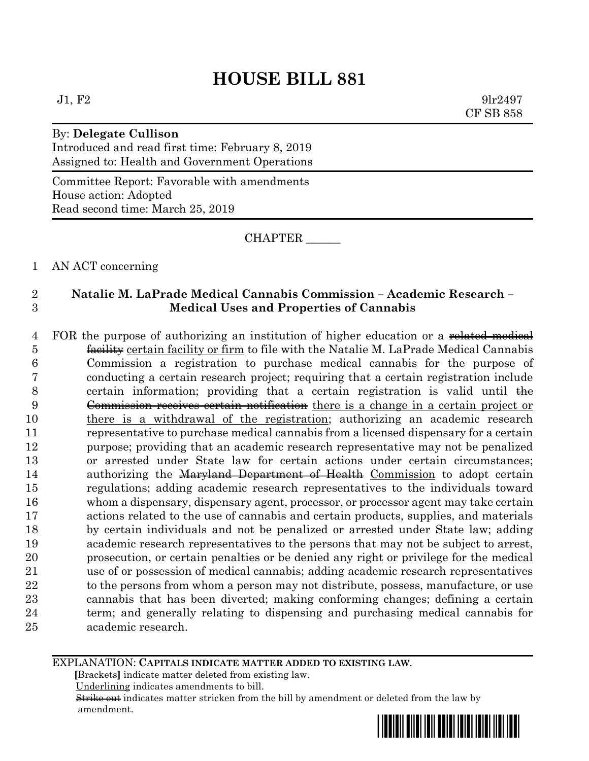$J1, F2$  9lr2497 CF SB 858

By: **Delegate Cullison** Introduced and read first time: February 8, 2019 Assigned to: Health and Government Operations

Committee Report: Favorable with amendments House action: Adopted Read second time: March 25, 2019

CHAPTER \_\_\_\_\_\_

1 AN ACT concerning

### 2 **Natalie M. LaPrade Medical Cannabis Commission – Academic Research –** 3 **Medical Uses and Properties of Cannabis**

4 FOR the purpose of authorizing an institution of higher education or a related medical **facility** certain facility or firm to file with the Natalie M. LaPrade Medical Cannabis Commission a registration to purchase medical cannabis for the purpose of conducting a certain research project; requiring that a certain registration include 8 certain information; providing that a certain registration is valid until  $\frac{1}{h}$  Commission receives certain notification there is a change in a certain project or there is a withdrawal of the registration; authorizing an academic research representative to purchase medical cannabis from a licensed dispensary for a certain purpose; providing that an academic research representative may not be penalized or arrested under State law for certain actions under certain circumstances; 14 authorizing the Maryland Department of Health Commission to adopt certain regulations; adding academic research representatives to the individuals toward whom a dispensary, dispensary agent, processor, or processor agent may take certain actions related to the use of cannabis and certain products, supplies, and materials by certain individuals and not be penalized or arrested under State law; adding academic research representatives to the persons that may not be subject to arrest, prosecution, or certain penalties or be denied any right or privilege for the medical use of or possession of medical cannabis; adding academic research representatives 22 to the persons from whom a person may not distribute, possess, manufacture, or use cannabis that has been diverted; making conforming changes; defining a certain term; and generally relating to dispensing and purchasing medical cannabis for academic research.

EXPLANATION: **CAPITALS INDICATE MATTER ADDED TO EXISTING LAW**.

 **[**Brackets**]** indicate matter deleted from existing law.

Underlining indicates amendments to bill.

 Strike out indicates matter stricken from the bill by amendment or deleted from the law by amendment.

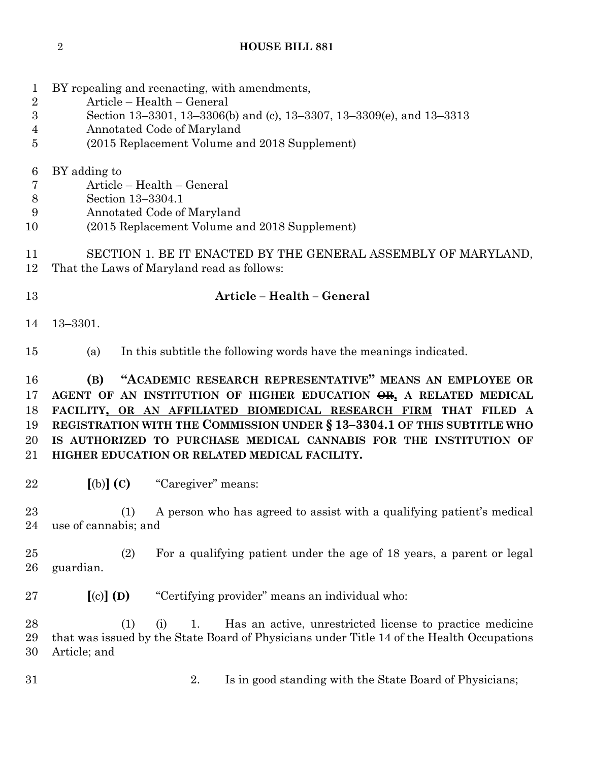| $\mathbf 1$<br>$\overline{2}$<br>$\boldsymbol{3}$<br>4<br>5 | BY repealing and reenacting, with amendments,<br>Article - Health - General<br>Section 13-3301, 13-3306(b) and (c), 13-3307, 13-3309(e), and 13-3313<br>Annotated Code of Maryland<br>(2015 Replacement Volume and 2018 Supplement)                                                                                                                                                                      |  |  |  |
|-------------------------------------------------------------|----------------------------------------------------------------------------------------------------------------------------------------------------------------------------------------------------------------------------------------------------------------------------------------------------------------------------------------------------------------------------------------------------------|--|--|--|
| 6<br>7<br>$8\,$<br>9<br>10                                  | BY adding to<br>Article – Health – General<br>Section 13-3304.1<br>Annotated Code of Maryland<br>(2015 Replacement Volume and 2018 Supplement)                                                                                                                                                                                                                                                           |  |  |  |
| 11<br>12                                                    | SECTION 1. BE IT ENACTED BY THE GENERAL ASSEMBLY OF MARYLAND,<br>That the Laws of Maryland read as follows:                                                                                                                                                                                                                                                                                              |  |  |  |
| 13                                                          | Article - Health - General                                                                                                                                                                                                                                                                                                                                                                               |  |  |  |
| 14                                                          | $13 - 3301.$                                                                                                                                                                                                                                                                                                                                                                                             |  |  |  |
| 15                                                          | In this subtitle the following words have the meanings indicated.<br>(a)                                                                                                                                                                                                                                                                                                                                 |  |  |  |
| 16<br>17<br>18<br>19<br>20<br>21                            | "ACADEMIC RESEARCH REPRESENTATIVE" MEANS AN EMPLOYEE OR<br>(B)<br>AGENT OF AN INSTITUTION OF HIGHER EDUCATION OR, A RELATED MEDICAL<br>FACILITY, OR AN AFFILIATED BIOMEDICAL RESEARCH FIRM THAT FILED A<br>REGISTRATION WITH THE COMMISSION UNDER § 13-3304.1 OF THIS SUBTITLE WHO<br>IS AUTHORIZED TO PURCHASE MEDICAL CANNABIS FOR THE INSTITUTION OF<br>HIGHER EDUCATION OR RELATED MEDICAL FACILITY. |  |  |  |
| 22                                                          | $[(b)]$ $(C)$<br>"Caregiver" means:                                                                                                                                                                                                                                                                                                                                                                      |  |  |  |
| 23<br>24                                                    | A person who has agreed to assist with a qualifying patient's medical<br>(1)<br>use of cannabis; and                                                                                                                                                                                                                                                                                                     |  |  |  |
| 25<br>26                                                    | For a qualifying patient under the age of 18 years, a parent or legal<br>(2)<br>guardian.                                                                                                                                                                                                                                                                                                                |  |  |  |
| 27                                                          | $[(c)]$ $(D)$<br>"Certifying provider" means an individual who:                                                                                                                                                                                                                                                                                                                                          |  |  |  |
| 28<br>29<br>30                                              | (1)<br>Has an active, unrestricted license to practice medicine<br>(i)<br>1.<br>that was issued by the State Board of Physicians under Title 14 of the Health Occupations<br>Article; and                                                                                                                                                                                                                |  |  |  |
| 31                                                          | Is in good standing with the State Board of Physicians;<br>2.                                                                                                                                                                                                                                                                                                                                            |  |  |  |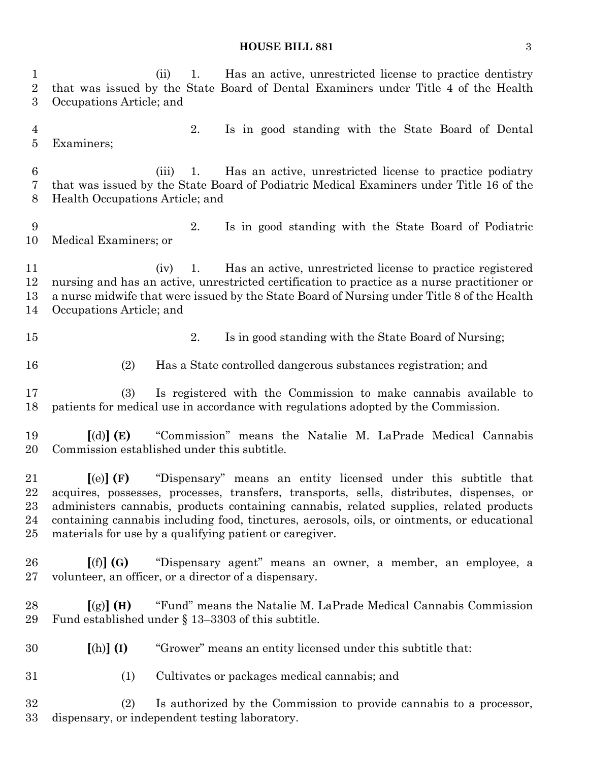| $\mathbf 1$<br>$\sqrt{2}$<br>3   | Has an active, unrestricted license to practice dentistry<br>1.<br>(ii)<br>that was issued by the State Board of Dental Examiners under Title 4 of the Health<br>Occupations Article; and                                                                                                                                                                                                                                                    |  |
|----------------------------------|----------------------------------------------------------------------------------------------------------------------------------------------------------------------------------------------------------------------------------------------------------------------------------------------------------------------------------------------------------------------------------------------------------------------------------------------|--|
| $\overline{4}$<br>$\overline{5}$ | 2.<br>Is in good standing with the State Board of Dental<br>Examiners;                                                                                                                                                                                                                                                                                                                                                                       |  |
| $\boldsymbol{6}$<br>7<br>8       | Has an active, unrestricted license to practice podiatry<br>(iii)<br>1.<br>that was issued by the State Board of Podiatric Medical Examiners under Title 16 of the<br>Health Occupations Article; and                                                                                                                                                                                                                                        |  |
| 9<br>10                          | 2.<br>Is in good standing with the State Board of Podiatric<br>Medical Examiners; or                                                                                                                                                                                                                                                                                                                                                         |  |
| 11<br>12<br>13<br>14             | Has an active, unrestricted license to practice registered<br>1.<br>(iv)<br>nursing and has an active, unrestricted certification to practice as a nurse practitioner or<br>a nurse midwife that were issued by the State Board of Nursing under Title 8 of the Health<br>Occupations Article; and                                                                                                                                           |  |
| 15                               | Is in good standing with the State Board of Nursing;<br>2.                                                                                                                                                                                                                                                                                                                                                                                   |  |
| 16                               | Has a State controlled dangerous substances registration; and<br>(2)                                                                                                                                                                                                                                                                                                                                                                         |  |
| 17<br>18                         | Is registered with the Commission to make cannabis available to<br>(3)<br>patients for medical use in accordance with regulations adopted by the Commission.                                                                                                                                                                                                                                                                                 |  |
| 19<br>20                         | $\lceil$ (d) $\rceil$ (E)<br>"Commission" means the Natalie M. LaPrade Medical Cannabis<br>Commission established under this subtitle.                                                                                                                                                                                                                                                                                                       |  |
| 21<br>22<br>23<br>24<br>25       | "Dispensary" means an entity licensed under this subtitle that<br>$\left[$ (e) $\right]$ (F)<br>acquires, possesses, processes, transfers, transports, sells, distributes, dispenses, or<br>administers cannabis, products containing cannabis, related supplies, related products<br>containing cannabis including food, tinctures, aerosols, oils, or ointments, or educational<br>materials for use by a qualifying patient or caregiver. |  |
| 26<br>27                         | "Dispensary agent" means an owner, a member, an employee, a<br>[(f)](G)<br>volunteer, an officer, or a director of a dispensary.                                                                                                                                                                                                                                                                                                             |  |
| 28<br>29                         | "Fund" means the Natalie M. LaPrade Medical Cannabis Commission<br>[(g)] (H)<br>Fund established under $\S$ 13–3303 of this subtitle.                                                                                                                                                                                                                                                                                                        |  |
| 30                               | $[(h)]$ $(I)$<br>"Grower" means an entity licensed under this subtitle that:                                                                                                                                                                                                                                                                                                                                                                 |  |
| 31                               | Cultivates or packages medical cannabis; and<br>(1)                                                                                                                                                                                                                                                                                                                                                                                          |  |
| 32<br>33                         | Is authorized by the Commission to provide cannabis to a processor,<br>(2)<br>dispensary, or independent testing laboratory.                                                                                                                                                                                                                                                                                                                 |  |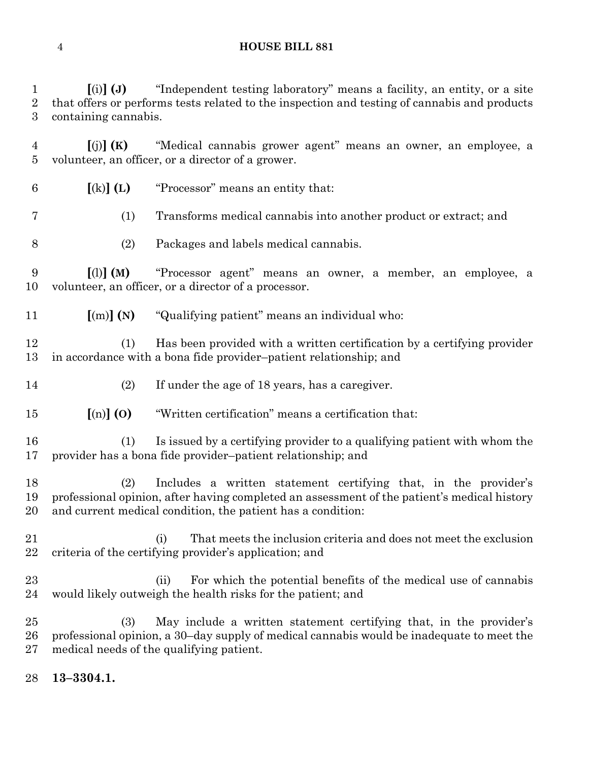**[**(i)**] (J)** "Independent testing laboratory" means a facility, an entity, or a site that offers or performs tests related to the inspection and testing of cannabis and products containing cannabis.

 **[**(j)**] (K)** "Medical cannabis grower agent" means an owner, an employee, a volunteer, an officer, or a director of a grower.

- **[**(k)**] (L)** "Processor" means an entity that:
- (1) Transforms medical cannabis into another product or extract; and
- (2) Packages and labels medical cannabis.

 **[**(l)**] (M)** "Processor agent" means an owner, a member, an employee, a volunteer, an officer, or a director of a processor.

**[**(m)**] (N)** "Qualifying patient" means an individual who:

 (1) Has been provided with a written certification by a certifying provider in accordance with a bona fide provider–patient relationship; and

- (2) If under the age of 18 years, has a caregiver.
- **[**(n)**] (O)** "Written certification" means a certification that:

 (1) Is issued by a certifying provider to a qualifying patient with whom the provider has a bona fide provider–patient relationship; and

 (2) Includes a written statement certifying that, in the provider's professional opinion, after having completed an assessment of the patient's medical history and current medical condition, the patient has a condition:

- (i) That meets the inclusion criteria and does not meet the exclusion criteria of the certifying provider's application; and
- (ii) For which the potential benefits of the medical use of cannabis would likely outweigh the health risks for the patient; and

 (3) May include a written statement certifying that, in the provider's professional opinion, a 30–day supply of medical cannabis would be inadequate to meet the medical needs of the qualifying patient.

**13–3304.1.**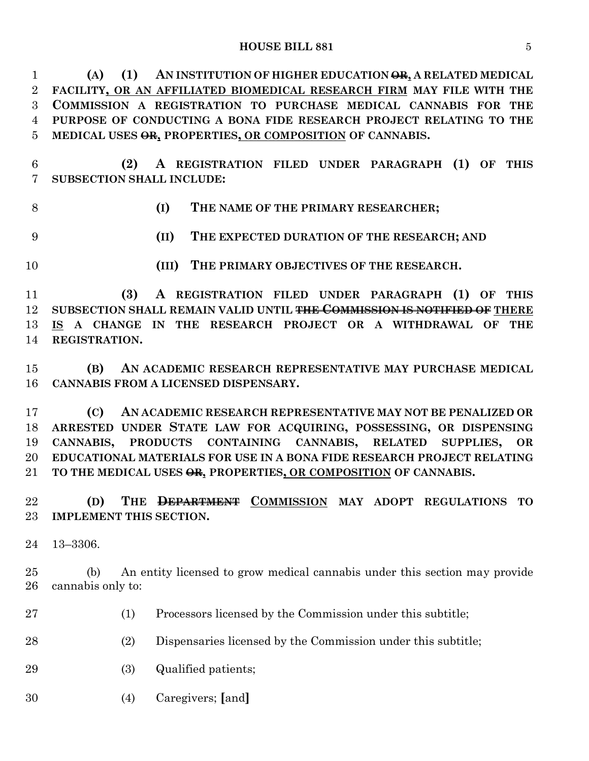**(A) (1) AN INSTITUTION OF HIGHER EDUCATION OR, A RELATED MEDICAL FACILITY, OR AN AFFILIATED BIOMEDICAL RESEARCH FIRM MAY FILE WITH THE COMMISSION A REGISTRATION TO PURCHASE MEDICAL CANNABIS FOR THE PURPOSE OF CONDUCTING A BONA FIDE RESEARCH PROJECT RELATING TO THE MEDICAL USES OR, PROPERTIES, OR COMPOSITION OF CANNABIS.**

 **(2) A REGISTRATION FILED UNDER PARAGRAPH (1) OF THIS SUBSECTION SHALL INCLUDE:**

**(I) THE NAME OF THE PRIMARY RESEARCHER;**

**(II) THE EXPECTED DURATION OF THE RESEARCH; AND**

**(III) THE PRIMARY OBJECTIVES OF THE RESEARCH.**

 **(3) A REGISTRATION FILED UNDER PARAGRAPH (1) OF THIS SUBSECTION SHALL REMAIN VALID UNTIL THE COMMISSION IS NOTIFIED OF THERE IS A CHANGE IN THE RESEARCH PROJECT OR A WITHDRAWAL OF THE REGISTRATION.**

 **(B) AN ACADEMIC RESEARCH REPRESENTATIVE MAY PURCHASE MEDICAL CANNABIS FROM A LICENSED DISPENSARY.**

 **(C) AN ACADEMIC RESEARCH REPRESENTATIVE MAY NOT BE PENALIZED OR ARRESTED UNDER STATE LAW FOR ACQUIRING, POSSESSING, OR DISPENSING CANNABIS, PRODUCTS CONTAINING CANNABIS, RELATED SUPPLIES, OR EDUCATIONAL MATERIALS FOR USE IN A BONA FIDE RESEARCH PROJECT RELATING TO THE MEDICAL USES OR, PROPERTIES, OR COMPOSITION OF CANNABIS.**

 **(D) THE DEPARTMENT COMMISSION MAY ADOPT REGULATIONS TO IMPLEMENT THIS SECTION.**

13–3306.

 (b) An entity licensed to grow medical cannabis under this section may provide cannabis only to:

(1) Processors licensed by the Commission under this subtitle;

(2) Dispensaries licensed by the Commission under this subtitle;

(3) Qualified patients;

(4) Caregivers; **[**and**]**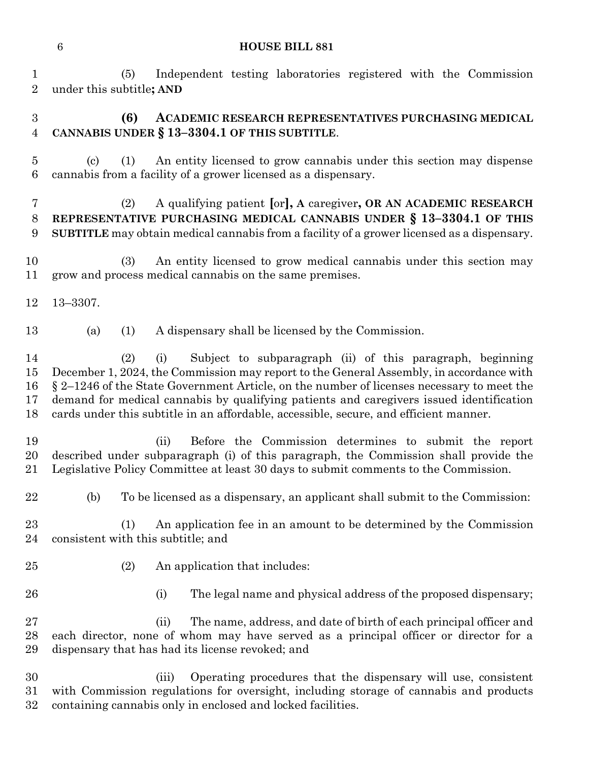(5) Independent testing laboratories registered with the Commission under this subtitle**; AND**

# **(6) ACADEMIC RESEARCH REPRESENTATIVES PURCHASING MEDICAL CANNABIS UNDER § 13–3304.1 OF THIS SUBTITLE**.

 (c) (1) An entity licensed to grow cannabis under this section may dispense cannabis from a facility of a grower licensed as a dispensary.

# (2) A qualifying patient **[**or**], A** caregiver**, OR AN ACADEMIC RESEARCH REPRESENTATIVE PURCHASING MEDICAL CANNABIS UNDER § 13–3304.1 OF THIS SUBTITLE** may obtain medical cannabis from a facility of a grower licensed as a dispensary.

 (3) An entity licensed to grow medical cannabis under this section may grow and process medical cannabis on the same premises.

- 13–3307.
- (a) (1) A dispensary shall be licensed by the Commission.

 (2) (i) Subject to subparagraph (ii) of this paragraph, beginning December 1, 2024, the Commission may report to the General Assembly, in accordance with § 2–1246 of the State Government Article, on the number of licenses necessary to meet the demand for medical cannabis by qualifying patients and caregivers issued identification cards under this subtitle in an affordable, accessible, secure, and efficient manner.

- (ii) Before the Commission determines to submit the report described under subparagraph (i) of this paragraph, the Commission shall provide the Legislative Policy Committee at least 30 days to submit comments to the Commission.
- (b) To be licensed as a dispensary, an applicant shall submit to the Commission:
- (1) An application fee in an amount to be determined by the Commission consistent with this subtitle; and
- 
- 25 (2) An application that includes:
- 
- 26 (i) The legal name and physical address of the proposed dispensary;

 (ii) The name, address, and date of birth of each principal officer and each director, none of whom may have served as a principal officer or director for a dispensary that has had its license revoked; and

 (iii) Operating procedures that the dispensary will use, consistent with Commission regulations for oversight, including storage of cannabis and products containing cannabis only in enclosed and locked facilities.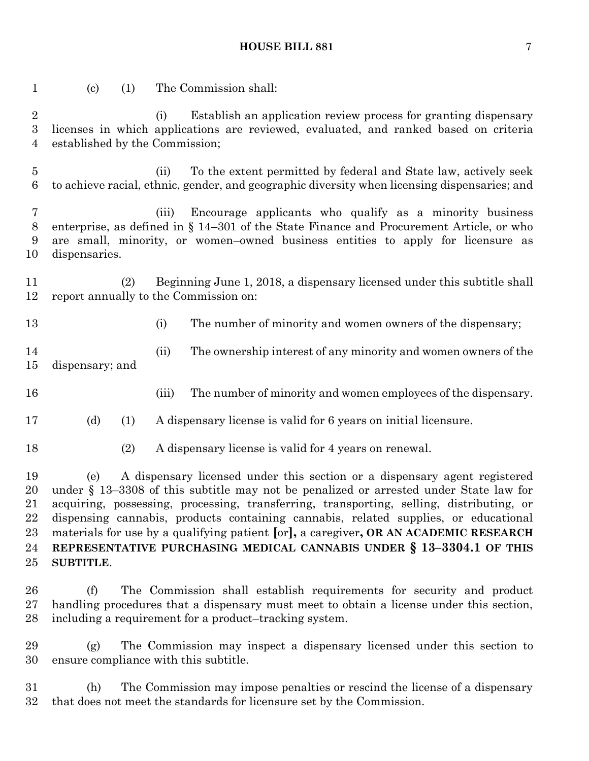| $\mathbf{1}$                                     | $\left( \text{c} \right)$<br>(1)                                                                                                                                                                                                                                                                                                                                                                                                                                                                                                                    | The Commission shall:                                                                                                                                                                                                                             |  |
|--------------------------------------------------|-----------------------------------------------------------------------------------------------------------------------------------------------------------------------------------------------------------------------------------------------------------------------------------------------------------------------------------------------------------------------------------------------------------------------------------------------------------------------------------------------------------------------------------------------------|---------------------------------------------------------------------------------------------------------------------------------------------------------------------------------------------------------------------------------------------------|--|
| $\sqrt{2}$<br>$\boldsymbol{3}$<br>$\overline{4}$ | established by the Commission;                                                                                                                                                                                                                                                                                                                                                                                                                                                                                                                      | Establish an application review process for granting dispensary<br>(i)<br>licenses in which applications are reviewed, evaluated, and ranked based on criteria                                                                                    |  |
| $\overline{5}$<br>$6\phantom{.}6$                |                                                                                                                                                                                                                                                                                                                                                                                                                                                                                                                                                     | To the extent permitted by federal and State law, actively seek<br>(ii)<br>to achieve racial, ethnic, gender, and geographic diversity when licensing dispensaries; and                                                                           |  |
| 7<br>8<br>9<br>10                                | dispensaries.                                                                                                                                                                                                                                                                                                                                                                                                                                                                                                                                       | Encourage applicants who qualify as a minority business<br>(iii)<br>enterprise, as defined in $\S$ 14–301 of the State Finance and Procurement Article, or who<br>are small, minority, or women-owned business entities to apply for licensure as |  |
| 11<br>12                                         | (2)                                                                                                                                                                                                                                                                                                                                                                                                                                                                                                                                                 | Beginning June 1, 2018, a dispensary licensed under this subtitle shall<br>report annually to the Commission on:                                                                                                                                  |  |
| 13                                               |                                                                                                                                                                                                                                                                                                                                                                                                                                                                                                                                                     | (i)<br>The number of minority and women owners of the dispensary;                                                                                                                                                                                 |  |
| 14<br>15                                         | dispensary; and                                                                                                                                                                                                                                                                                                                                                                                                                                                                                                                                     | The ownership interest of any minority and women owners of the<br>(ii)                                                                                                                                                                            |  |
| 16                                               |                                                                                                                                                                                                                                                                                                                                                                                                                                                                                                                                                     | The number of minority and women employees of the dispensary.<br>(iii)                                                                                                                                                                            |  |
| 17                                               | (d)<br>(1)                                                                                                                                                                                                                                                                                                                                                                                                                                                                                                                                          | A dispensary license is valid for 6 years on initial licensure.                                                                                                                                                                                   |  |
| 18                                               | (2)                                                                                                                                                                                                                                                                                                                                                                                                                                                                                                                                                 | A dispensary license is valid for 4 years on renewal.                                                                                                                                                                                             |  |
| 19<br>20<br>21<br>22<br>$23\,$<br>24<br>25       | A dispensary licensed under this section or a dispensary agent registered<br>(e)<br>under $\S$ 13–3308 of this subtitle may not be penalized or arrested under State law for<br>acquiring, possessing, processing, transferring, transporting, selling, distributing, or<br>dispensing cannabis, products containing cannabis, related supplies, or educational<br>materials for use by a qualifying patient [or], a caregiver, OR AN ACADEMIC RESEARCH<br>REPRESENTATIVE PURCHASING MEDICAL CANNABIS UNDER § 13-3304.1 OF THIS<br><b>SUBTITLE.</b> |                                                                                                                                                                                                                                                   |  |
| 26<br>$27\,$<br>$^{28}$                          | (f)                                                                                                                                                                                                                                                                                                                                                                                                                                                                                                                                                 | The Commission shall establish requirements for security and product<br>handling procedures that a dispensary must meet to obtain a license under this section,<br>including a requirement for a product-tracking system.                         |  |
| 29<br>30                                         | (g)                                                                                                                                                                                                                                                                                                                                                                                                                                                                                                                                                 | The Commission may inspect a dispensary licensed under this section to<br>ensure compliance with this subtitle.                                                                                                                                   |  |

 (h) The Commission may impose penalties or rescind the license of a dispensary that does not meet the standards for licensure set by the Commission.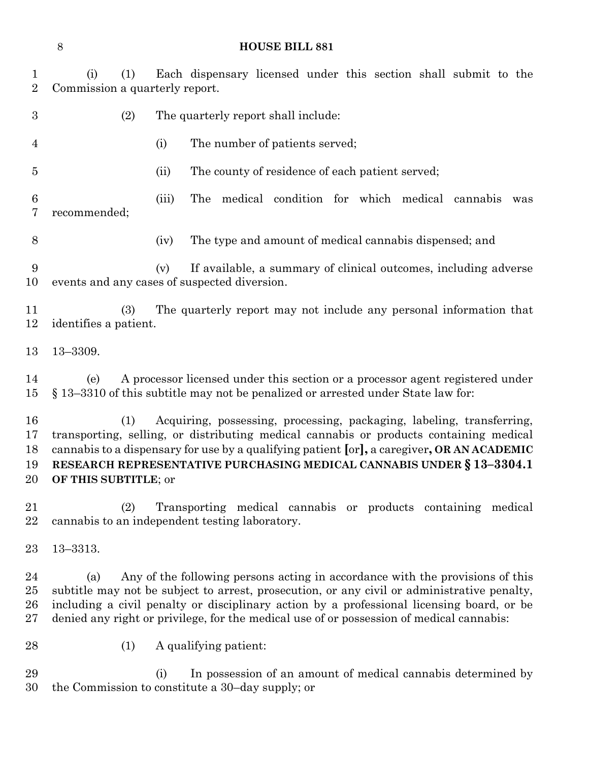(i) (1) Each dispensary licensed under this section shall submit to the Commission a quarterly report.

- (2) The quarterly report shall include:
- (i) The number of patients served;
- (ii) The county of residence of each patient served;

 (iii) The medical condition for which medical cannabis was recommended;

(iv) The type and amount of medical cannabis dispensed; and

 (v) If available, a summary of clinical outcomes, including adverse events and any cases of suspected diversion.

 (3) The quarterly report may not include any personal information that identifies a patient.

13–3309.

 (e) A processor licensed under this section or a processor agent registered under § 13–3310 of this subtitle may not be penalized or arrested under State law for:

 (1) Acquiring, possessing, processing, packaging, labeling, transferring, transporting, selling, or distributing medical cannabis or products containing medical cannabis to a dispensary for use by a qualifying patient **[**or**],** a caregiver**, OR AN ACADEMIC RESEARCH REPRESENTATIVE PURCHASING MEDICAL CANNABIS UNDER § 13–3304.1 OF THIS SUBTITLE**; or

 (2) Transporting medical cannabis or products containing medical cannabis to an independent testing laboratory.

13–3313.

 (a) Any of the following persons acting in accordance with the provisions of this subtitle may not be subject to arrest, prosecution, or any civil or administrative penalty, including a civil penalty or disciplinary action by a professional licensing board, or be denied any right or privilege, for the medical use of or possession of medical cannabis:

(1) A qualifying patient:

 (i) In possession of an amount of medical cannabis determined by the Commission to constitute a 30–day supply; or